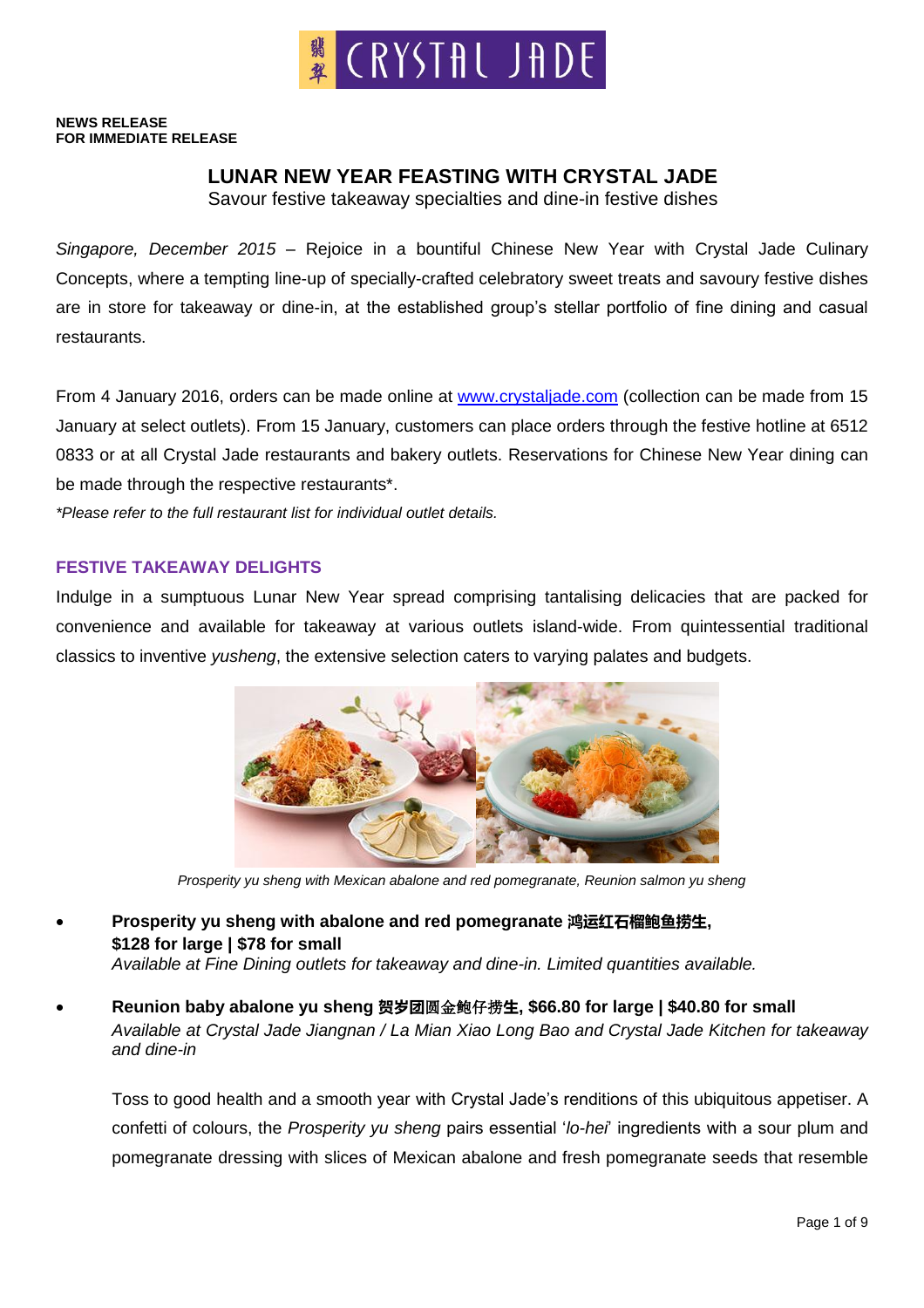#### **NEWS RELEASE FOR IMMEDIATE RELEASE**

## **LUNAR NEW YEAR FEASTING WITH CRYSTAL JADE**

Savour festive takeaway specialties and dine-in festive dishes

*Singapore, December 2015* – Rejoice in a bountiful Chinese New Year with Crystal Jade Culinary Concepts, where a tempting line-up of specially-crafted celebratory sweet treats and savoury festive dishes are in store for takeaway or dine-in, at the established group's stellar portfolio of fine dining and casual restaurants.

From 4 January 2016, orders can be made online at [www.crystaljade.com](http://www.crystaljade.com/) (collection can be made from 15 January at select outlets). From 15 January, customers can place orders through the festive hotline at 6512 0833 or at all Crystal Jade restaurants and bakery outlets. Reservations for Chinese New Year dining can be made through the respective restaurants\*.

*\*Please refer to the full restaurant list for individual outlet details.*

#### **FESTIVE TAKEAWAY DELIGHTS**

Indulge in a sumptuous Lunar New Year spread comprising tantalising delicacies that are packed for convenience and available for takeaway at various outlets island-wide. From quintessential traditional classics to inventive *yusheng*, the extensive selection caters to varying palates and budgets.



*Prosperity yu sheng with Mexican abalone and red pomegranate, Reunion salmon yu sheng*

# **Prosperity yu sheng with abalone and red pomegranate 鸿运红石榴鲍鱼捞生, \$128 for large | \$78 for small**

*Available at Fine Dining outlets for takeaway and dine-in. Limited quantities available.*

 **Reunion baby abalone yu sheng 贺岁团**圆金鲍仔捞**生, \$66.80 for large | \$40.80 for small**  *Available at Crystal Jade Jiangnan / La Mian Xiao Long Bao and Crystal Jade Kitchen for takeaway and dine-in*

Toss to good health and a smooth year with Crystal Jade's renditions of this ubiquitous appetiser. A confetti of colours, the *Prosperity yu sheng* pairs essential '*lo-hei*' ingredients with a sour plum and pomegranate dressing with slices of Mexican abalone and fresh pomegranate seeds that resemble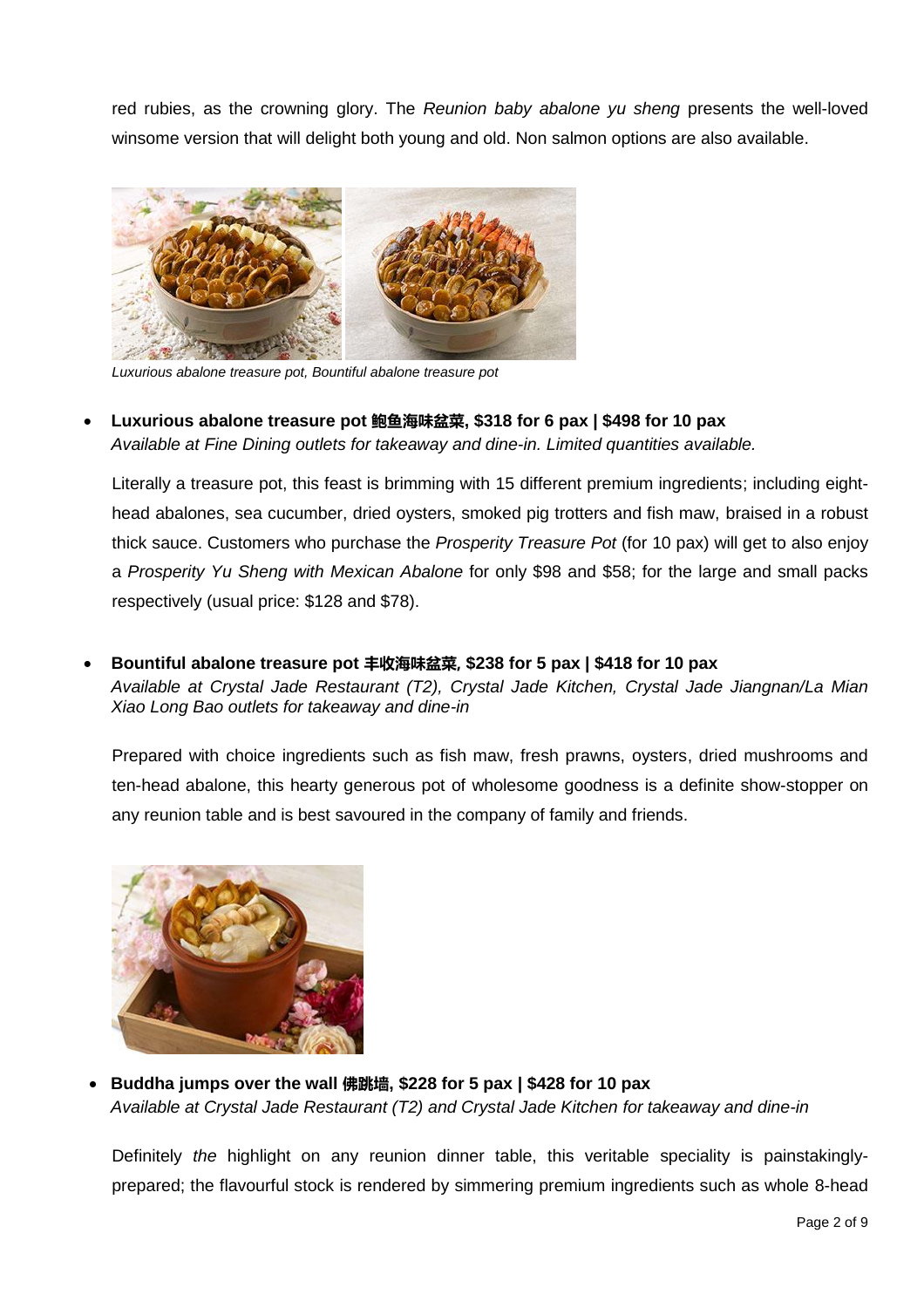red rubies, as the crowning glory. The *Reunion baby abalone yu sheng* presents the well-loved winsome version that will delight both young and old. Non salmon options are also available.



*Luxurious abalone treasure pot, Bountiful abalone treasure pot*

 **Luxurious abalone treasure pot 鲍鱼海味盆菜, \$318 for 6 pax | \$498 for 10 pax** *Available at Fine Dining outlets for takeaway and dine-in. Limited quantities available.*

Literally a treasure pot, this feast is brimming with 15 different premium ingredients; including eighthead abalones, sea cucumber, dried oysters, smoked pig trotters and fish maw, braised in a robust thick sauce. Customers who purchase the *Prosperity Treasure Pot* (for 10 pax) will get to also enjoy a *Prosperity Yu Sheng with Mexican Abalone* for only \$98 and \$58; for the large and small packs respectively (usual price: \$128 and \$78).

 **Bountiful abalone treasure pot 丰收海味盆菜, \$238 for 5 pax | \$418 for 10 pax** *Available at Crystal Jade Restaurant (T2), Crystal Jade Kitchen, Crystal Jade Jiangnan/La Mian Xiao Long Bao outlets for takeaway and dine-in*

Prepared with choice ingredients such as fish maw, fresh prawns, oysters, dried mushrooms and ten-head abalone, this hearty generous pot of wholesome goodness is a definite show-stopper on any reunion table and is best savoured in the company of family and friends.



 **Buddha jumps over the wall 佛跳墙, \$228 for 5 pax | \$428 for 10 pax**  *Available at Crystal Jade Restaurant (T2) and Crystal Jade Kitchen for takeaway and dine-in*

Definitely *the* highlight on any reunion dinner table, this veritable speciality is painstakinglyprepared; the flavourful stock is rendered by simmering premium ingredients such as whole 8-head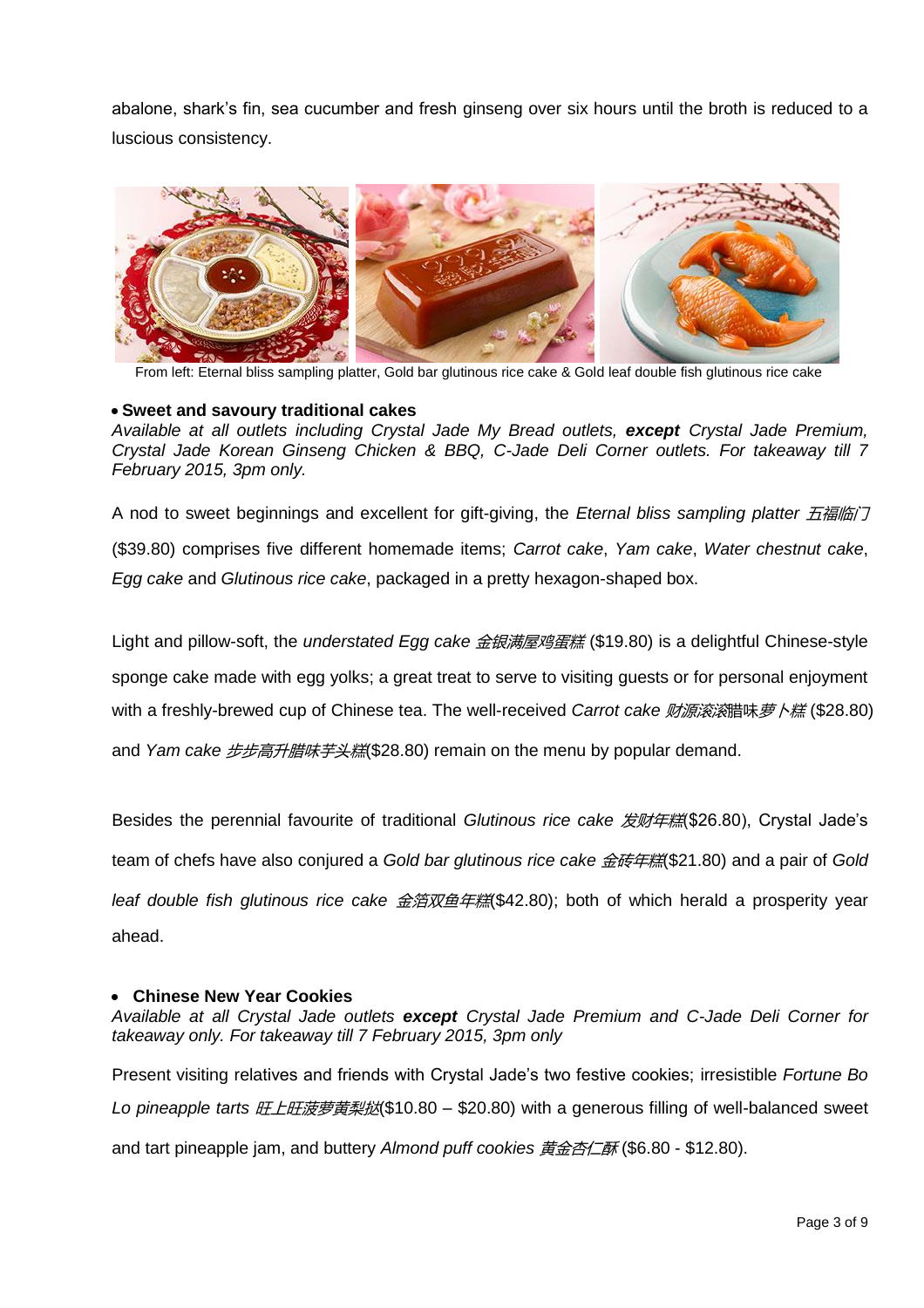abalone, shark's fin, sea cucumber and fresh ginseng over six hours until the broth is reduced to a luscious consistency.



From left: Eternal bliss sampling platter, Gold bar glutinous rice cake & Gold leaf double fish glutinous rice cake

#### **Sweet and savoury traditional cakes**

*Available at all outlets including Crystal Jade My Bread outlets, except Crystal Jade Premium, Crystal Jade Korean Ginseng Chicken & BBQ, C-Jade Deli Corner outlets. For takeaway till 7 February 2015, 3pm only.*

A nod to sweet beginnings and excellent for gift-giving, the *Eternal bliss sampling platter* 五福临门 (\$39.80) comprises five different homemade items; *Carrot cake*, *Yam cake*, *Water chestnut cake*, *Egg cake* and *Glutinous rice cake*, packaged in a pretty hexagon-shaped box.

Light and pillow-soft, the *understated Egg cake* 金银满屋鸡蛋糕 (\$19.80) is a delightful Chinese-style sponge cake made with egg yolks; a great treat to serve to visiting guests or for personal enjoyment with a freshly-brewed cup of Chinese tea. The well-received *Carrot cake* 财源滚滚腊味萝卜糕 (\$28.80)

and *Yam cake* 步步高升腊味芋头糕(\$28.80) remain on the menu by popular demand.

Besides the perennial favourite of traditional *Glutinous rice cake* 发财年糕(\$26.80), Crystal Jade's

team of chefs have also conjured a *Gold bar glutinous rice cake* 金砖年糕(\$21.80) and a pair of *Gold* 

*leaf double fish glutinous rice cake* 金箔双鱼年糕(\$42.80); both of which herald a prosperity year ahead.

#### **Chinese New Year Cookies**

*Available at all Crystal Jade outlets except Crystal Jade Premium and C-Jade Deli Corner for takeaway only. For takeaway till 7 February 2015, 3pm only*

Present visiting relatives and friends with Crystal Jade's two festive cookies; irresistible *Fortune Bo*  Lo pineapple tarts *旺上旺菠萝黄梨挞*(\$10.80 – \$20.80) with a generous filling of well-balanced sweet and tart pineapple jam, and buttery *Almond puff cookies* 黄金杏仁酥 (\$6.80 - \$12.80).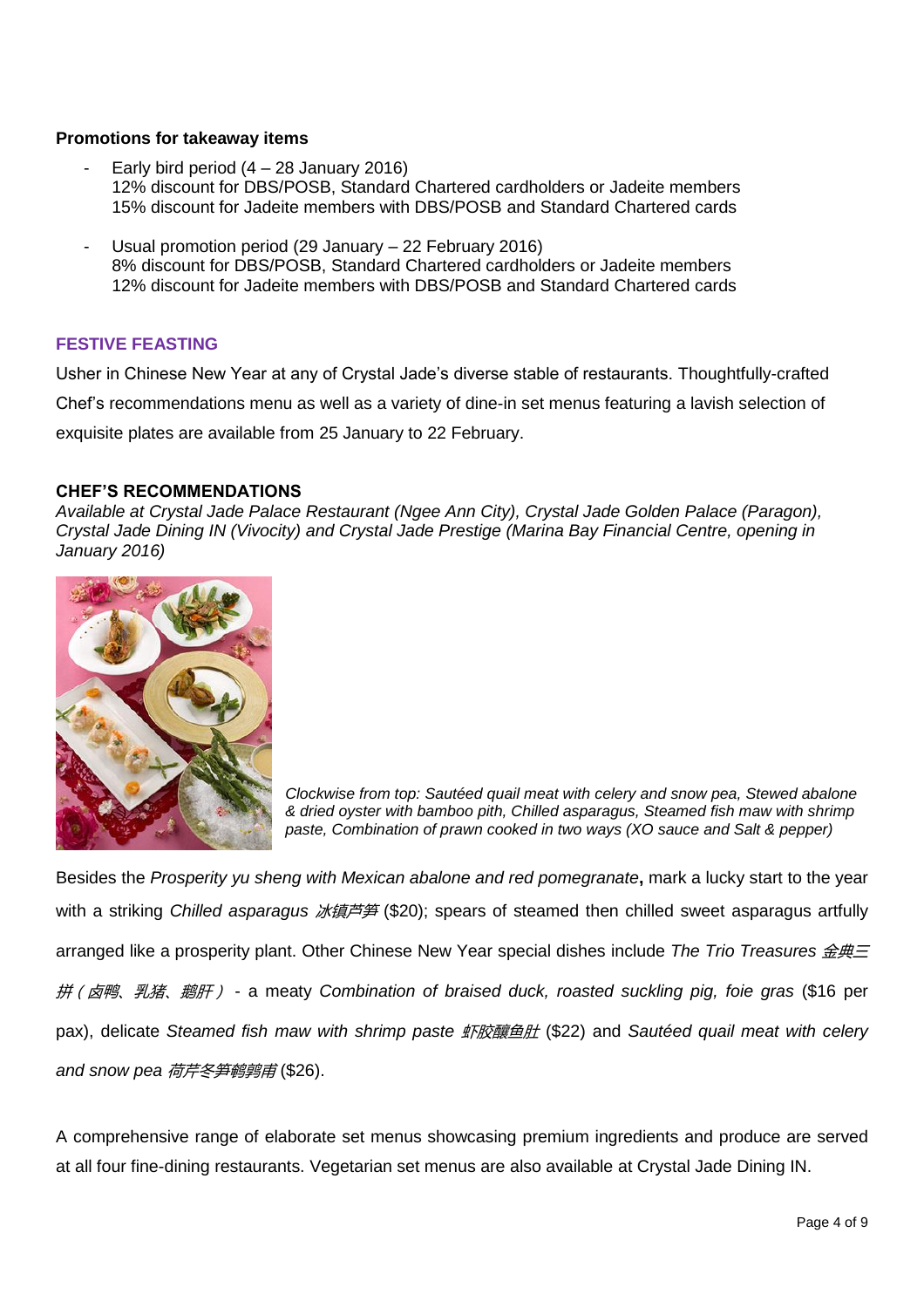#### **Promotions for takeaway items**

- Early bird period  $(4 28$  January 2016) 12% discount for DBS/POSB, Standard Chartered cardholders or Jadeite members 15% discount for Jadeite members with DBS/POSB and Standard Chartered cards
- Usual promotion period (29 January 22 February 2016) 8% discount for DBS/POSB, Standard Chartered cardholders or Jadeite members 12% discount for Jadeite members with DBS/POSB and Standard Chartered cards

### **FESTIVE FEASTING**

Usher in Chinese New Year at any of Crystal Jade's diverse stable of restaurants. Thoughtfully-crafted Chef's recommendations menu as well as a variety of dine-in set menus featuring a lavish selection of exquisite plates are available from 25 January to 22 February.

#### **CHEF'S RECOMMENDATIONS**

*Available at Crystal Jade Palace Restaurant (Ngee Ann City), Crystal Jade Golden Palace (Paragon), Crystal Jade Dining IN (Vivocity) and Crystal Jade Prestige (Marina Bay Financial Centre, opening in January 2016)*



*Clockwise from top: Sautéed quail meat with celery and snow pea, Stewed abalone & dried oyster with bamboo pith, Chilled asparagus, Steamed fish maw with shrimp paste, Combination of prawn cooked in two ways (XO sauce and Salt & pepper)*

Besides the *Prosperity yu sheng with Mexican abalone and red pomegranate***,** mark a lucky start to the year with a striking *Chilled asparagus* 冰镇芦笋 (\$20); spears of steamed then chilled sweet asparagus artfully arranged like a prosperity plant. Other Chinese New Year special dishes include *The Trio Treasures* 金典三 拼(卤鸭、乳猪、鹅肝) - a meaty *Combination of braised duck, roasted suckling pig, foie gras* (\$16 per pax), delicate *Steamed fish maw with shrimp paste* 虾胶釀鱼肚 (\$22) and *Sautéed quail meat with celery and snow pea* 荷芹冬笋鹌鹑甫 (\$26).

A comprehensive range of elaborate set menus showcasing premium ingredients and produce are served at all four fine-dining restaurants. Vegetarian set menus are also available at Crystal Jade Dining IN.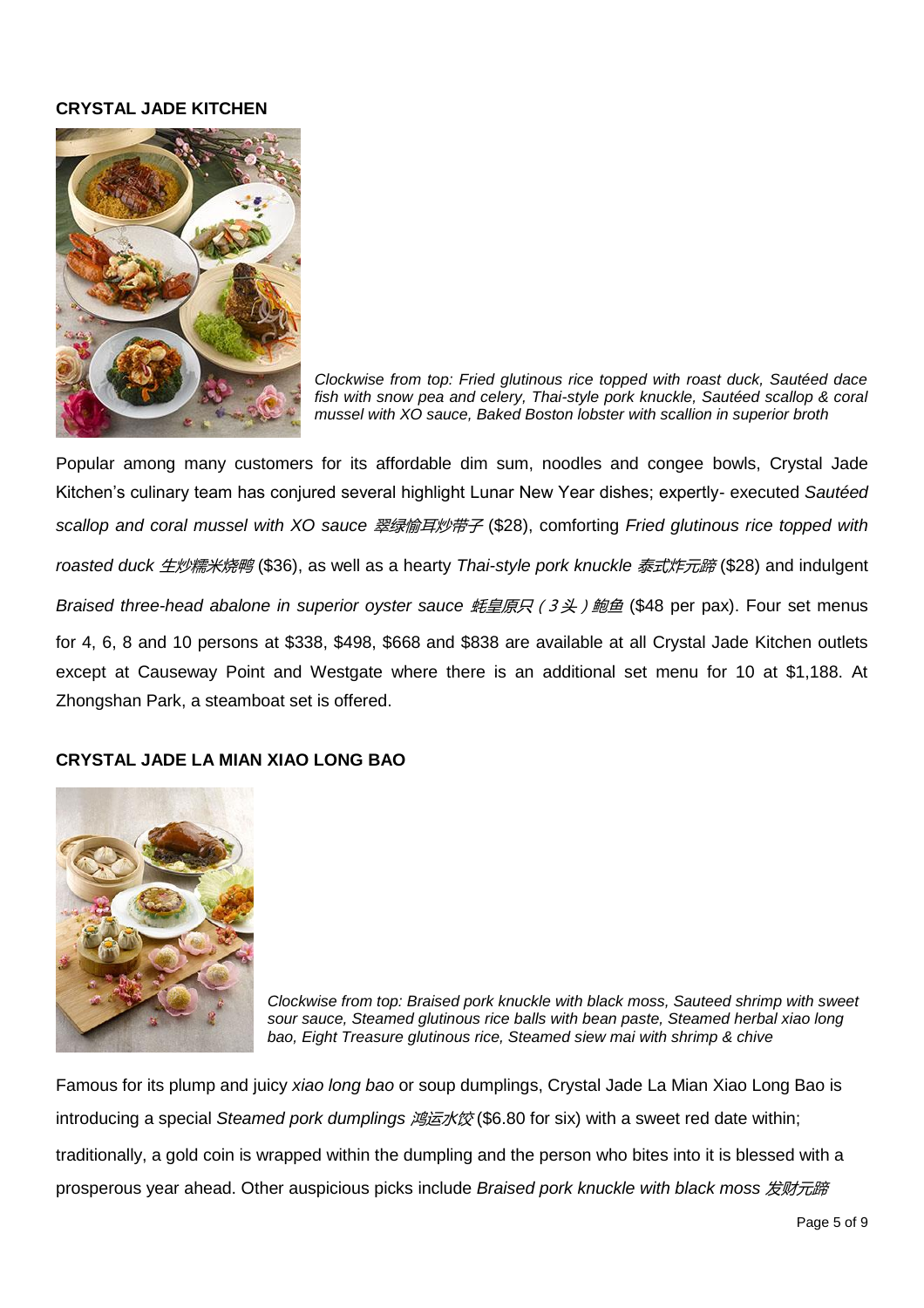### **CRYSTAL JADE KITCHEN**



*Clockwise from top: Fried glutinous rice topped with roast duck, Sautéed dace fish with snow pea and celery, Thai-style pork knuckle, Sautéed scallop & coral mussel with XO sauce, Baked Boston lobster with scallion in superior broth*

Popular among many customers for its affordable dim sum, noodles and congee bowls, Crystal Jade Kitchen's culinary team has conjured several highlight Lunar New Year dishes; expertly- executed *Sautéed scallop and coral mussel with XO sauce* 翠绿愉耳炒带子 (\$28), comforting *Fried glutinous rice topped with roasted duck* 生炒糯米烧鸭 (\$36), as well as a hearty *Thai-style pork knuckle* 泰式炸元蹄 (\$28) and indulgent *Braised three-head abalone in superior oyster sauce 蚝皇原只(3头)鲍鱼* (\$48 per pax). Four set menus for 4, 6, 8 and 10 persons at \$338, \$498, \$668 and \$838 are available at all Crystal Jade Kitchen outlets except at Causeway Point and Westgate where there is an additional set menu for 10 at \$1,188. At Zhongshan Park, a steamboat set is offered.

## **CRYSTAL JADE LA MIAN XIAO LONG BAO**



*Clockwise from top: Braised pork knuckle with black moss, Sauteed shrimp with sweet sour sauce, Steamed glutinous rice balls with bean paste, Steamed herbal xiao long bao, Eight Treasure glutinous rice, Steamed siew mai with shrimp & chive*

Famous for its plump and juicy *xiao long bao* or soup dumplings, Crystal Jade La Mian Xiao Long Bao is introducing a special *Steamed pork dumplings 鸿运水饺* (\$6.80 for six) with a sweet red date within; traditionally, a gold coin is wrapped within the dumpling and the person who bites into it is blessed with a prosperous year ahead. Other auspicious picks include *Braised pork knuckle with black moss* 发财元蹄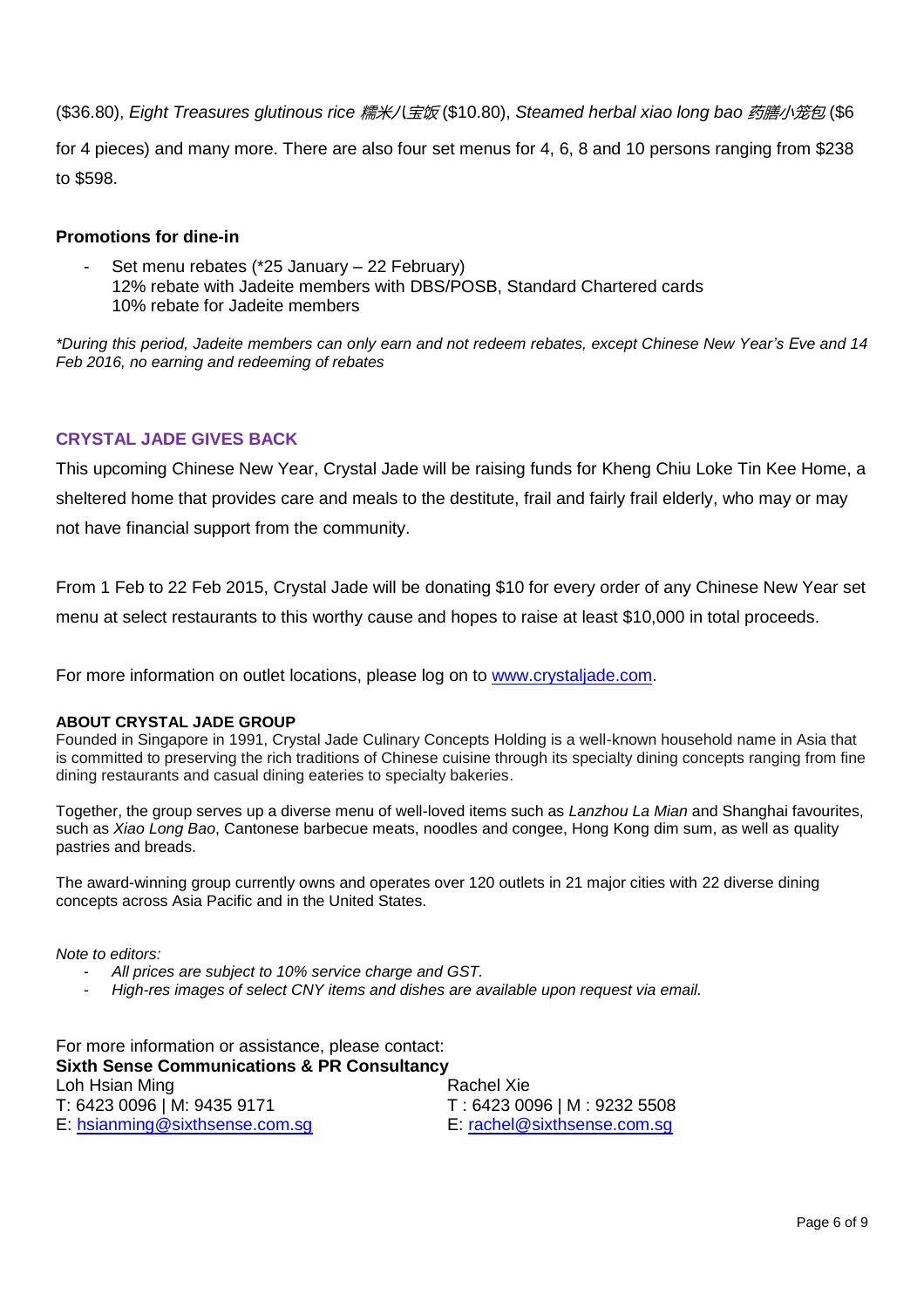(\$36.80), *Eight Treasures glutinous rice* 糯米八宝饭 (\$10.80), *Steamed herbal xiao long bao* 药膳小笼包 (\$6 for 4 pieces) and many more. There are also four set menus for 4, 6, 8 and 10 persons ranging from \$238 to \$598.

## **Promotions for dine-in**

Set menu rebates (\*25 January – 22 February) 12% rebate with Jadeite members with DBS/POSB, Standard Chartered cards 10% rebate for Jadeite members

*\*During this period, Jadeite members can only earn and not redeem rebates, except Chinese New Year's Eve and 14 Feb 2016, no earning and redeeming of rebates*

## **CRYSTAL JADE GIVES BACK**

This upcoming Chinese New Year, Crystal Jade will be raising funds for Kheng Chiu Loke Tin Kee Home, a sheltered home that provides care and meals to the destitute, frail and fairly frail elderly, who may or may not have financial support from the community.

From 1 Feb to 22 Feb 2015, Crystal Jade will be donating \$10 for every order of any Chinese New Year set menu at select restaurants to this worthy cause and hopes to raise at least \$10,000 in total proceeds.

For more information on outlet locations, please log on to [www.crystaljade.com.](http://www.crystaljade.com/)

#### **ABOUT CRYSTAL JADE GROUP**

Founded in Singapore in 1991, Crystal Jade Culinary Concepts Holding is a well-known household name in Asia that is committed to preserving the rich traditions of Chinese cuisine through its specialty dining concepts ranging from fine dining restaurants and casual dining eateries to specialty bakeries.

Together, the group serves up a diverse menu of well-loved items such as *Lanzhou La Mian* and Shanghai favourites, such as *Xiao Long Bao*, Cantonese barbecue meats, noodles and congee, Hong Kong dim sum, as well as quality pastries and breads.

The award-winning group currently owns and operates over 120 outlets in 21 major cities with 22 diverse dining concepts across Asia Pacific and in the United States.

*Note to editors:* 

- *All prices are subject to 10% service charge and GST.*
- *High-res images of select CNY items and dishes are available upon request via email.*

For more information or assistance, please contact: **Sixth Sense Communications & PR Consultancy** Loh Hsian Ming **Rachel Xie Rachel Xie** T: 6423 0096 | M: 9435 9171 T: 6423 0096 | M: 9232 5508 E: [hsianming@sixthsense.com.sg](mailto:hsianming@sixthsense.com.sg) E: [rachel@sixthsense.com.sg](mailto:rachel@sixthsense.com.sg)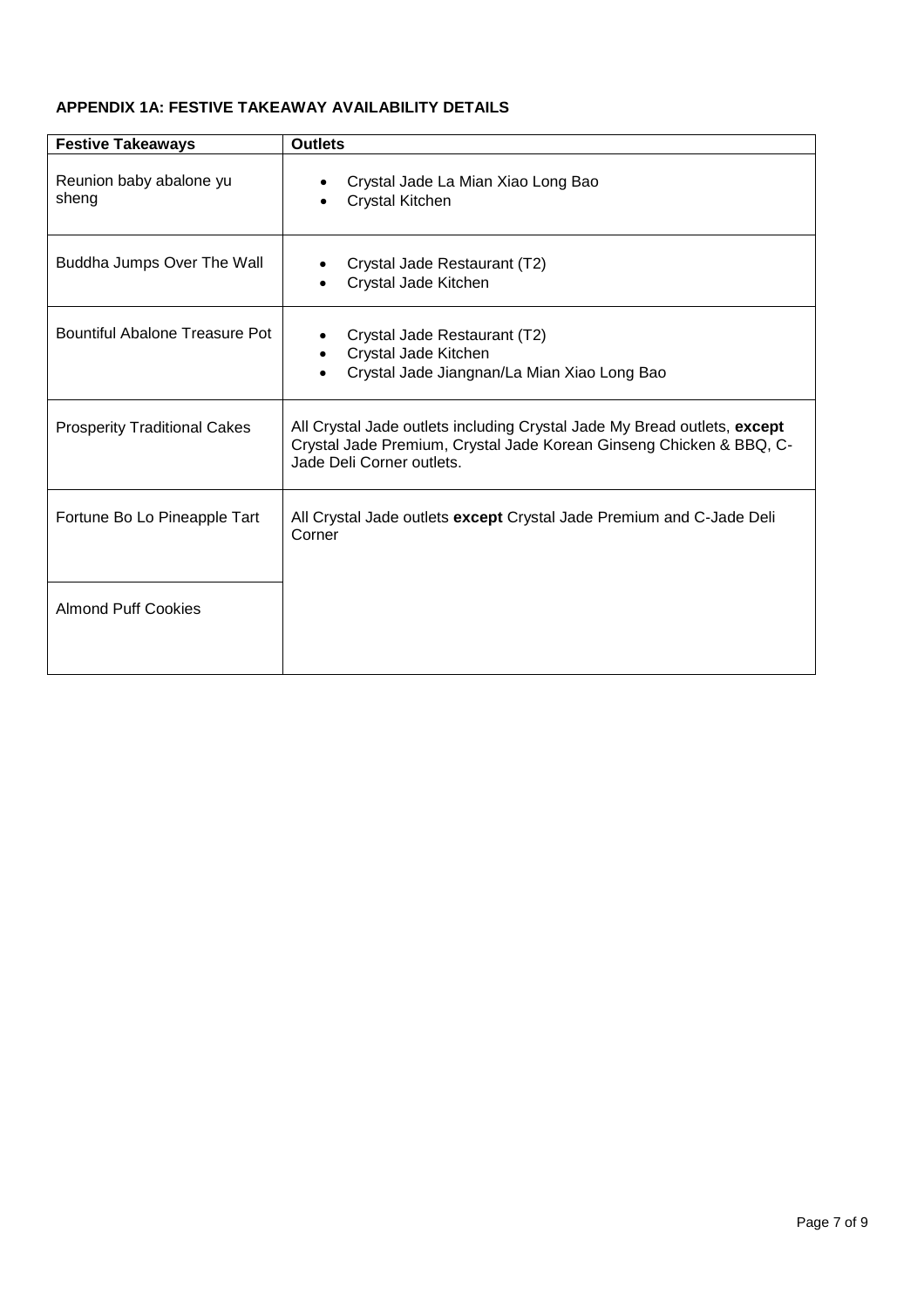## **APPENDIX 1A: FESTIVE TAKEAWAY AVAILABILITY DETAILS**

| <b>Festive Takeaways</b>            | <b>Outlets</b>                                                                                                                                                               |
|-------------------------------------|------------------------------------------------------------------------------------------------------------------------------------------------------------------------------|
| Reunion baby abalone yu<br>sheng    | Crystal Jade La Mian Xiao Long Bao<br><b>Crystal Kitchen</b>                                                                                                                 |
| Buddha Jumps Over The Wall          | Crystal Jade Restaurant (T2)<br>Crystal Jade Kitchen                                                                                                                         |
| Bountiful Abalone Treasure Pot      | Crystal Jade Restaurant (T2)<br>Crystal Jade Kitchen<br>$\bullet$<br>Crystal Jade Jiangnan/La Mian Xiao Long Bao                                                             |
| <b>Prosperity Traditional Cakes</b> | All Crystal Jade outlets including Crystal Jade My Bread outlets, except<br>Crystal Jade Premium, Crystal Jade Korean Ginseng Chicken & BBQ, C-<br>Jade Deli Corner outlets. |
| Fortune Bo Lo Pineapple Tart        | All Crystal Jade outlets except Crystal Jade Premium and C-Jade Deli<br>Corner                                                                                               |
| <b>Almond Puff Cookies</b>          |                                                                                                                                                                              |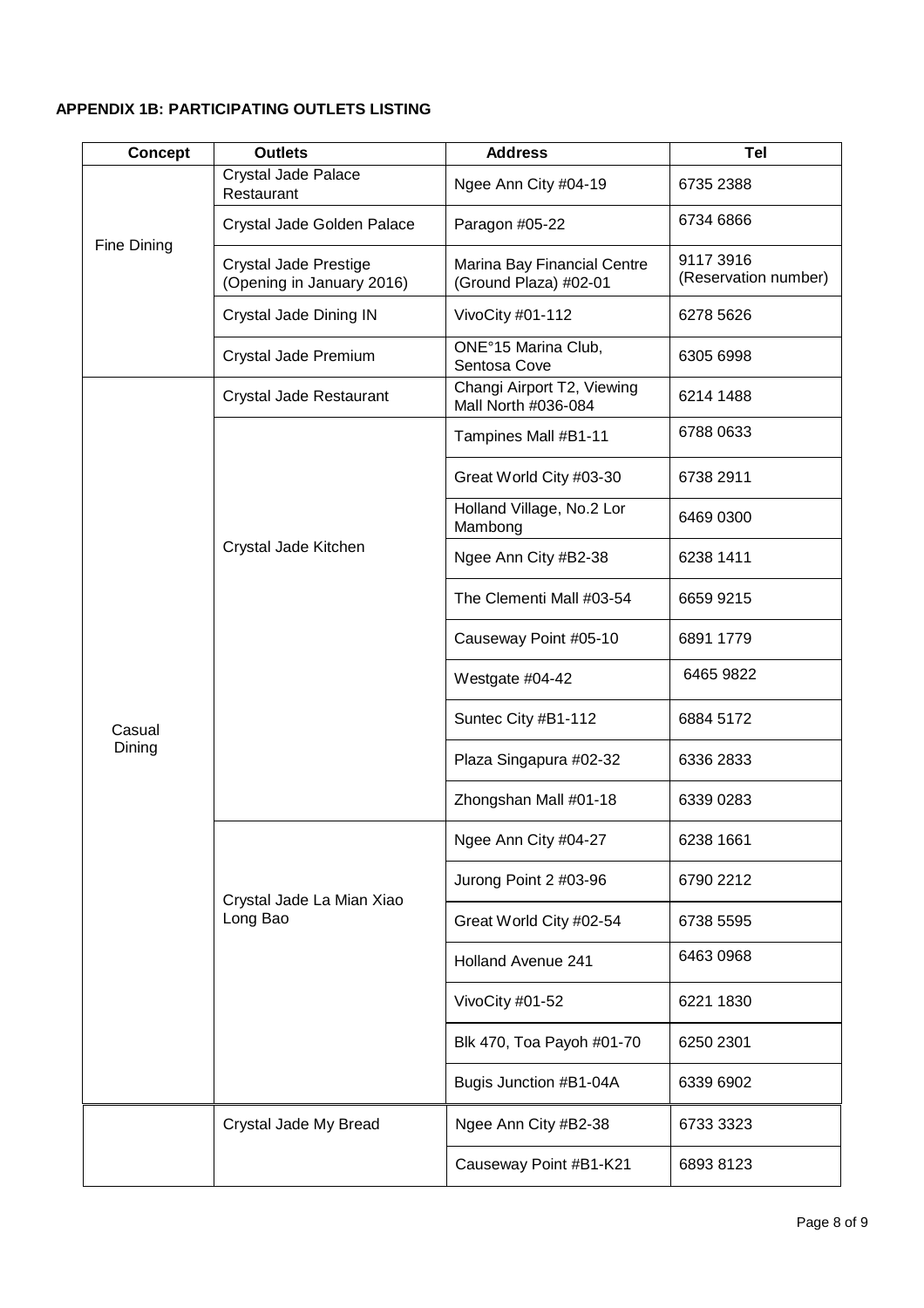## **APPENDIX 1B: PARTICIPATING OUTLETS LISTING**

| <b>Concept</b>   | <b>Outlets</b>                                     | <b>Address</b>                                       | <b>Tel</b>                        |
|------------------|----------------------------------------------------|------------------------------------------------------|-----------------------------------|
| Fine Dining      | Crystal Jade Palace<br>Restaurant                  | Ngee Ann City #04-19                                 | 6735 2388                         |
|                  | Crystal Jade Golden Palace                         | Paragon #05-22                                       | 6734 6866                         |
|                  | Crystal Jade Prestige<br>(Opening in January 2016) | Marina Bay Financial Centre<br>(Ground Plaza) #02-01 | 9117 3916<br>(Reservation number) |
|                  | Crystal Jade Dining IN                             | VivoCity #01-112                                     | 6278 5626                         |
|                  | Crystal Jade Premium                               | ONE°15 Marina Club,<br>Sentosa Cove                  | 6305 6998                         |
| Casual<br>Dining | Crystal Jade Restaurant                            | Changi Airport T2, Viewing<br>Mall North #036-084    | 6214 1488                         |
|                  |                                                    | Tampines Mall #B1-11                                 | 6788 0633                         |
|                  |                                                    | Great World City #03-30                              | 6738 2911                         |
|                  | Crystal Jade Kitchen                               | Holland Village, No.2 Lor<br>Mambong                 | 6469 0300                         |
|                  |                                                    | Ngee Ann City #B2-38                                 | 6238 1411                         |
|                  |                                                    | The Clementi Mall #03-54                             | 6659 9215                         |
|                  |                                                    | Causeway Point #05-10                                | 6891 1779                         |
|                  |                                                    | Westgate #04-42                                      | 6465 9822                         |
|                  |                                                    | Suntec City #B1-112                                  | 6884 5172                         |
|                  |                                                    | Plaza Singapura #02-32                               | 6336 2833                         |
|                  |                                                    | Zhongshan Mall #01-18                                | 6339 0283                         |
|                  |                                                    | Ngee Ann City #04-27                                 | 6238 1661                         |
|                  | Crystal Jade La Mian Xiao                          | Jurong Point 2 #03-96                                | 6790 2212                         |
|                  | Long Bao                                           | Great World City #02-54                              | 6738 5595                         |
|                  |                                                    | <b>Holland Avenue 241</b>                            | 6463 0968                         |
|                  |                                                    | VivoCity #01-52                                      | 6221 1830                         |
|                  |                                                    | Blk 470, Toa Payoh #01-70                            | 6250 2301                         |
|                  |                                                    | Bugis Junction #B1-04A                               | 6339 6902                         |
|                  | Crystal Jade My Bread                              | Ngee Ann City #B2-38                                 | 6733 3323                         |
|                  |                                                    | Causeway Point #B1-K21                               | 6893 8123                         |